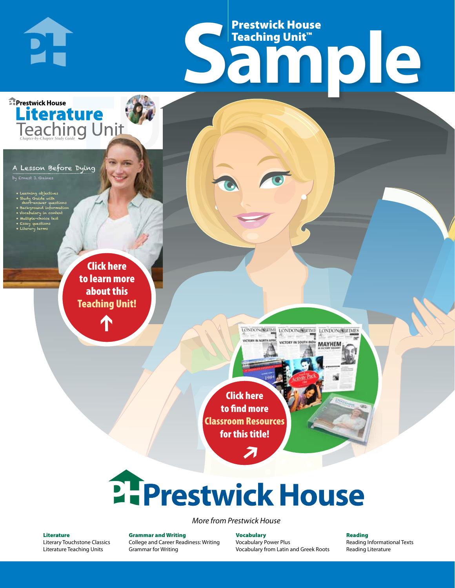# Frestwick House<br>
Sample Prestwick House Teaching Unit™

LONDON-SCITME LONDON/SCITME LONDON/SCITMES

**MAYHEM** 



#### A Lesson Before Dying

**PH** 

.<br>Ernest J. Gaines

- Learning objectives
- Study Guide with short-answer questions
- Background information
- Vocabulary in context • Multiple-choice test

CHARLES DICKENS

- Essay questions
- **A Tale of Two Cities** • Literary terms

r e o r d e r n o . x x x x x x Click here to learn more about this [Teaching Unit!](https://www.prestwickhouse.com/pdf/id-200963/Lesson_Before_Dying_A_-_Downloadable_Teaching_Unit)

 $\mathbf{T}$ 

1

Click here to find more [Classroom Resources](http://teaching-english.prestwickhouse.com/search#w=a%20lesson%20before%20dying)  for this title!

 $\overline{\boldsymbol{\lambda}}$ 

# 2. Prestwick House

#### *More from Prestwick House*

#### Literature

[Literary Touchstone Classics](https://www.prestwickhouse.com/literary-touchstone-classics) [Literature Teaching Units](https://www.prestwickhouse.com/teaching-units)

Grammar and Writing [College and Career Readiness: Writing](https://www.prestwickhouse.com/college-and-career-readiness-writing) [Grammar for Writing](https://www.prestwickhouse.com/book/id-302639/Grammar_for_Writing_-_30_Books_and_Teachers_Edition)

Vocabulary [Vocabulary Power Plus](https://www.prestwickhouse.com/vocabulary-power-plus-for-college-and-career-readiness) [Vocabulary from Latin and Greek Roots](https://www.prestwickhouse.com/vocabulary-from-latin-and-greek-roots) Reading

[Reading Informational Texts](https://www.prestwickhouse.com/reading-informational-texts) [Reading Literature](https://www.prestwickhouse.com/reading-literature)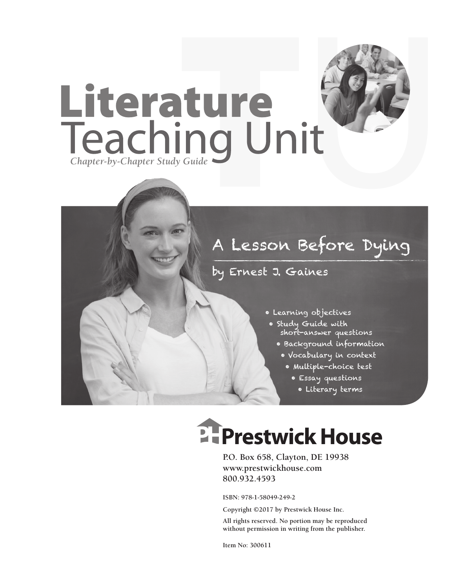

## A Lesson Before Dying

#### by Ernest J. Gaines

- Learning objectives
- Study Guide with short-answer questions
	- Background information
		- Vocabulary in context
			- Multiple-choice test
				- Essay questions
					- Literary terms

## **E-Prestwick House**

**P.O. Box 658, Clayton, DE 19938 www.prestwickhouse.com 800.932.4593**

**ISBN: 978-1-58049-249-2**

**Copyright ©2017 by Prestwick House Inc.**

**All rights reserved. No portion may be reproduced without permission in writing from the publisher.** 

**Item No: 300611**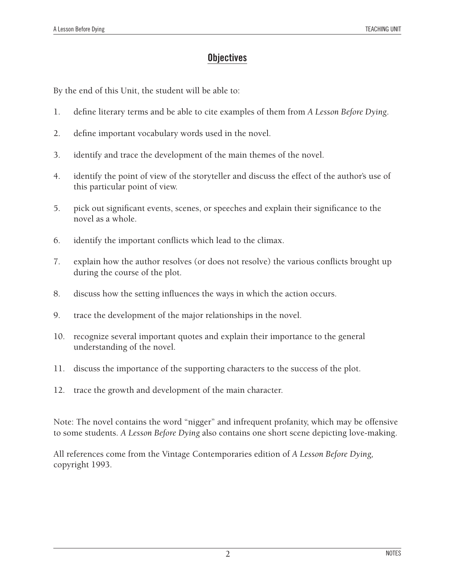#### **Objectives**

By the end of this Unit, the student will be able to:

- 1. define literary terms and be able to cite examples of them from *A Lesson Before Dying*.
- 2. define important vocabulary words used in the novel.
- 3. identify and trace the development of the main themes of the novel.
- 4. identify the point of view of the storyteller and discuss the effect of the author's use of this particular point of view.
- 5. pick out significant events, scenes, or speeches and explain their significance to the novel as a whole.
- 6. identify the important conflicts which lead to the climax.
- 7. explain how the author resolves (or does not resolve) the various conflicts brought up during the course of the plot.
- 8. discuss how the setting influences the ways in which the action occurs.
- 9. trace the development of the major relationships in the novel.
- 10. recognize several important quotes and explain their importance to the general understanding of the novel.
- 11. discuss the importance of the supporting characters to the success of the plot.
- 12. trace the growth and development of the main character.

Note: The novel contains the word "nigger" and infrequent profanity, which may be offensive to some students. *A Lesson Before Dying* also contains one short scene depicting love-making.

All references come from the Vintage Contemporaries edition of *A Lesson Before Dying,*  copyright 1993.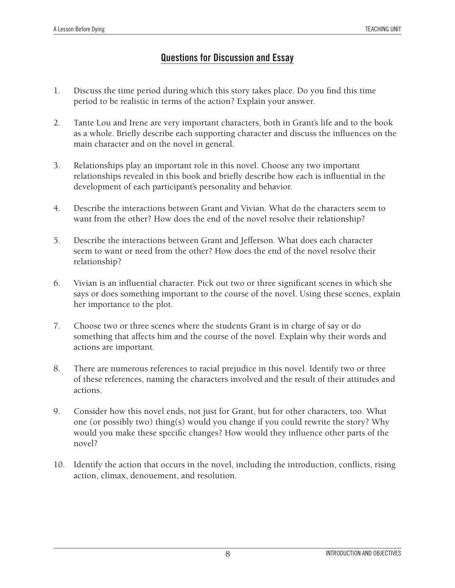#### **Questions for Discussion and Essay**

- 1. Discuss the time period during which this story takes place. Do you find this time period to be realistic in terms of the action? Explain your answer.
- 2. Tante Lou and Irene are very important characters, both in Grant's life and to the book as a whole. Briefly describe each supporting character and discuss the influences on the main character and on the novel in general.
- 3. Relationships play an important role in this novel. Choose any two important relationships revealed in this book and briefly describe how each is influential in the development of each participant's personality and behavior.
- 4. Describe the interactions between Grant and Vivian. What do the characters seem to want from the other? How does the end of the novel resolve their relationship?
- 5. Describe the interactions between Grant and Jefferson. What does each character seem to want or need from the other? How does the end of the novel resolve their relationship?
- 6. Vivian is an influential character. Pick out two or three significant scenes in which she says or does something important to the course of the novel. Using these scenes, explain her importance to the plot.
- 7. Choose two or three scenes where the students Grant is in charge of say or do something that affects him and the course of the novel. Explain why their words and actions are important.
- 8. There are numerous references to racial prejudice in this novel. Identify two or three of these references, naming the characters involved and the result of their attitudes and actions.
- 9. Consider how this novel ends, not just for Grant, but for other characters, too. What one (or possibly two) thing(s) would you change if you could rewrite the story? Why would you make these specific changes? How would they influence other parts of the novel?
- 10. Identify the action that occurs in the novel, including the introduction, conflicts, rising action, climax, denouement, and resolution.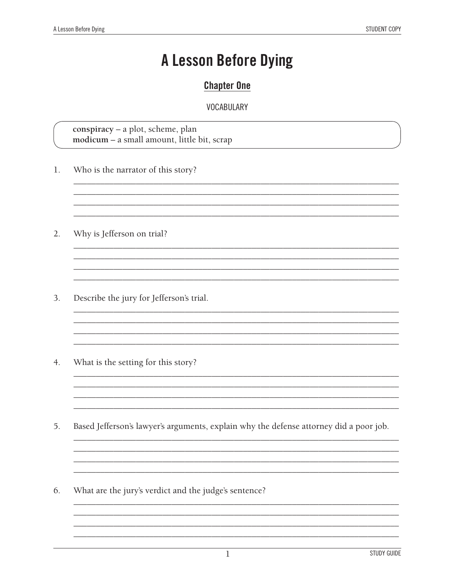### **A Lesson Before Dying**

#### **Chapter One**

#### **VOCABULARY**

conspiracy - a plot, scheme, plan modicum - a small amount, little bit, scrap

- $1.$ Who is the narrator of this story?
- $2.$ Why is Jefferson on trial?
- 3. Describe the jury for Jefferson's trial.
- $4.$ What is the setting for this story?
- 5. Based Jefferson's lawyer's arguments, explain why the defense attorney did a poor job.

<u> 1980 - Johann John Stone, mars eta biztanleria (h. 1980).</u>

<u> 1989 - Johann John Harry Harry Harry Harry Harry Harry Harry Harry Harry Harry Harry Harry Harry Harry Harry H</u>

6. What are the jury's verdict and the judge's sentence?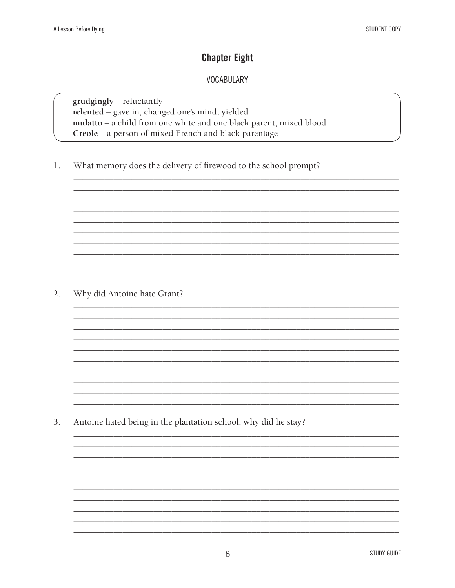#### **Chapter Eight**

#### **VOCABULARY**

grudgingly - reluctantly relented - gave in, changed one's mind, yielded mulatto - a child from one white and one black parent, mixed blood Creole - a person of mixed French and black parentage

 $1.$ What memory does the delivery of firewood to the school prompt?

 $2.$ Why did Antoine hate Grant?

 $3.$ Antoine hated being in the plantation school, why did he stay?